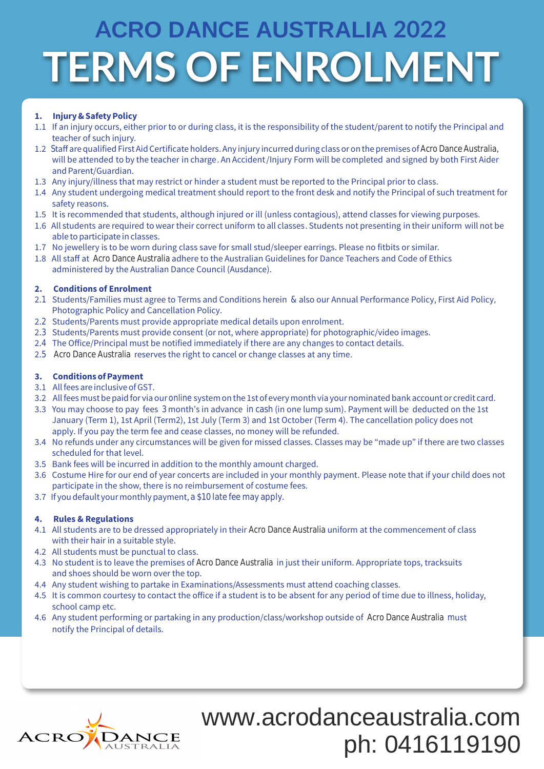# **TERMS OF ENROLMENT ACRO DANCE AUSTRALIA 2022**

## **1. Injury&SafetyPolicy**

- 1.1 If an injury occurs, either prior to or during class, it is the responsibility of the student/parent to notify the Principal and teacher of such injury.
- 1.2 Staff are qualified First Aid Certificate holders. Any injury incurred during class or on the premises of Acro Dance Australia, will be attended to by the teacher in charge. An Accident/Injury Form will be completed and signed by both First Aider and Parent/Guardian.
- 1.3 Any injury/illness that may restrict or hinder a student must be reported to the Principal prior to class.
- 1.4 Any student undergoing medical treatment should report to the front desk and notify the Principal of such treatment for safety reasons.
- 1.5 It is recommended that students, although injured or ill (unless contagious), attend classes for viewing purposes.
- 1.6 All students are required to wear their correct uniform to all classes. Students not presenting in their uniform will not be able to participate in classes.
- 1.7 No jewellery is to be worn during class save for small stud/sleeper earrings. Please no fitbits or similar.
- 1.8 All staff at Acro Dance Australia adhere to the Australian Guidelines for Dance Teachers and Code of Ethics administered by the Australian Dance Council (Ausdance).

## **2. Conditions of Enrolment**

- 2.1 Students/Families must agree to Terms and Conditions herein & also our Annual Performance Policy, First Aid Policy, Photographic Policy and Cancellation Policy.
- 2.2 Students/Parents must provide appropriate medical details upon enrolment.
- 2.3 Students/Parents must provide consent (or not, where appropriate) for photographic/video images.
- 2.4 The Office/Principal must be notified immediately if there are any changes to contact details.
- 2.5 Acro Dance Australia reserves the right to cancel or change classes at any time.

## **3. ConditionsofPayment**

- 3.1 Allfees are inclusiveofGST.
- 3.2 All fees must be paid for via our **online** system on the 1st of every month via your nominated bank account or credit card.
- 3.3 You may choose to pay fees 3 month's in advance in cash (in one lump sum). Payment will be deducted on the 1st January (Term 1), 1st April (Term2), 1st July (Term 3) and 1st October (Term 4). The cancellation policy does not apply. If you pay the term fee and cease classes, no money will be refunded.
- 3.4 No refunds under any circumstances will be given for missed classes. Classes may be "made up" if there are two classes scheduled for that level.
- 3.5 Bank fees will be incurred in addition to the monthly amount charged.
- 3.6 Costume Hire for our end of year concerts are included in your monthly payment. Please note that if your child does not participate in the show, there is no reimbursement of costume fees.
- 3.7 If you default your monthly payment, a \$10 late fee may apply.

## **4. Rules & Regulations**

- 4.1 All students are to be dressed appropriately in their **Acro Dance Australia** uniform at the commencement of class with their hair in a suitable style.
- 4.2 All students must be punctual to class.
- 4.3 No student is to leave the premises of **Acro Dance Australia i**n just their uniform. Appropriate tops, tracksuits and shoes should be worn over the top.
- 4.4 Any student wishing to partake in Examinations/Assessments must attend coaching classes.
- 4.5 It is common courtesy to contact the office if a student is to be absent for any period of time due to illness, holiday, school camp etc.
- 4.6 Any student performing or partaking in any production/class/workshop outside of **Acro Dance Australia m**ust notify the Principal of details.



www.acrodanceaustralia.com ph: 0416119190